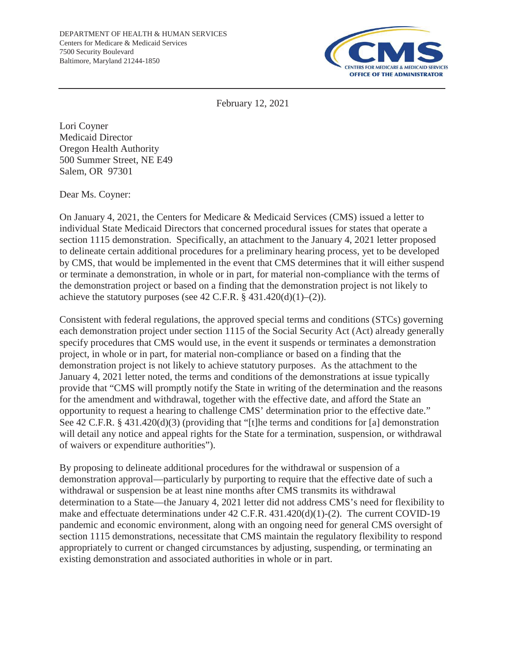

February 12, 2021

Lori Coyner Medicaid Director Oregon Health Authority 500 Summer Street, NE E49 Salem, OR 97301

Dear Ms. Coyner:

On January 4, 2021, the Centers for Medicare & Medicaid Services (CMS) issued a letter to individual State Medicaid Directors that concerned procedural issues for states that operate a section 1115 demonstration. Specifically, an attachment to the January 4, 2021 letter proposed to delineate certain additional procedures for a preliminary hearing process, yet to be developed by CMS, that would be implemented in the event that CMS determines that it will either suspend or terminate a demonstration, in whole or in part, for material non-compliance with the terms of the demonstration project or based on a finding that the demonstration project is not likely to achieve the statutory purposes (see 42 C.F.R.  $\S$  431.420(d)(1)–(2)).

Consistent with federal regulations, the approved special terms and conditions (STCs) governing each demonstration project under section 1115 of the Social Security Act (Act) already generally specify procedures that CMS would use, in the event it suspends or terminates a demonstration project, in whole or in part, for material non-compliance or based on a finding that the demonstration project is not likely to achieve statutory purposes. As the attachment to the January 4, 2021 letter noted, the terms and conditions of the demonstrations at issue typically provide that "CMS will promptly notify the State in writing of the determination and the reasons for the amendment and withdrawal, together with the effective date, and afford the State an opportunity to request a hearing to challenge CMS' determination prior to the effective date." See 42 C.F.R. § 431.420(d)(3) (providing that "[t]he terms and conditions for [a] demonstration will detail any notice and appeal rights for the State for a termination, suspension, or withdrawal of waivers or expenditure authorities").

By proposing to delineate additional procedures for the withdrawal or suspension of a demonstration approval—particularly by purporting to require that the effective date of such a withdrawal or suspension be at least nine months after CMS transmits its withdrawal determination to a State—the January 4, 2021 letter did not address CMS's need for flexibility to make and effectuate determinations under 42 C.F.R. 431.420(d)(1)-(2). The current COVID-19 pandemic and economic environment, along with an ongoing need for general CMS oversight of section 1115 demonstrations, necessitate that CMS maintain the regulatory flexibility to respond appropriately to current or changed circumstances by adjusting, suspending, or terminating an existing demonstration and associated authorities in whole or in part.